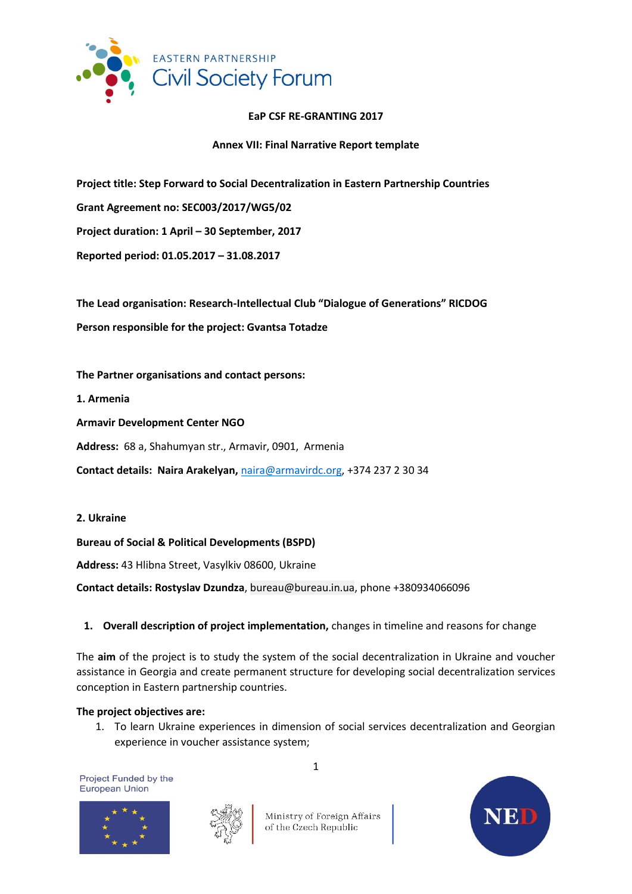

#### **EaP CSF RE-GRANTING 2017**

**Annex VII: Final Narrative Report template** 

**Project title: Step Forward to Social Decentralization in Eastern Partnership Countries**

**Grant Agreement no: SEC003/2017/WG5/02**

**Project duration: 1 April – 30 September, 2017**

**Reported period: 01.05.2017 – 31.08.2017**

**The Lead organisation: Research-Intellectual Club "Dialogue of Generations" RICDOG Person responsible for the project: Gvantsa Totadze**

**The Partner organisations and contact persons:** 

**1. Armenia**

**Armavir Development Center NGO**

**Address:** 68 a, Shahumyan str., Armavir, 0901, Armenia

**Contact details: Naira Arakelyan,** [naira@armavirdc.org,](mailto:naira@armavirdc.org) +374 237 2 30 34

**2. Ukraine**

**Bureau of Social & Political Developments (BSPD)**

**Address:** 43 Hlibna Street, Vasylkiv 08600, Ukraine

**Contact details: Rostyslav Dzundza**, bureau@bureau.in.ua, phone +380934066096

# **1. Overall description of project implementation,** changes in timeline and reasons for change

The **aim** of the project is to study the system of the social decentralization in Ukraine and voucher assistance in Georgia and create permanent structure for developing social decentralization services conception in Eastern partnership countries.

#### **The project objectives are:**

1. To learn Ukraine experiences in dimension of social services decentralization and Georgian experience in voucher assistance system;

Project Funded by the **European Union** 





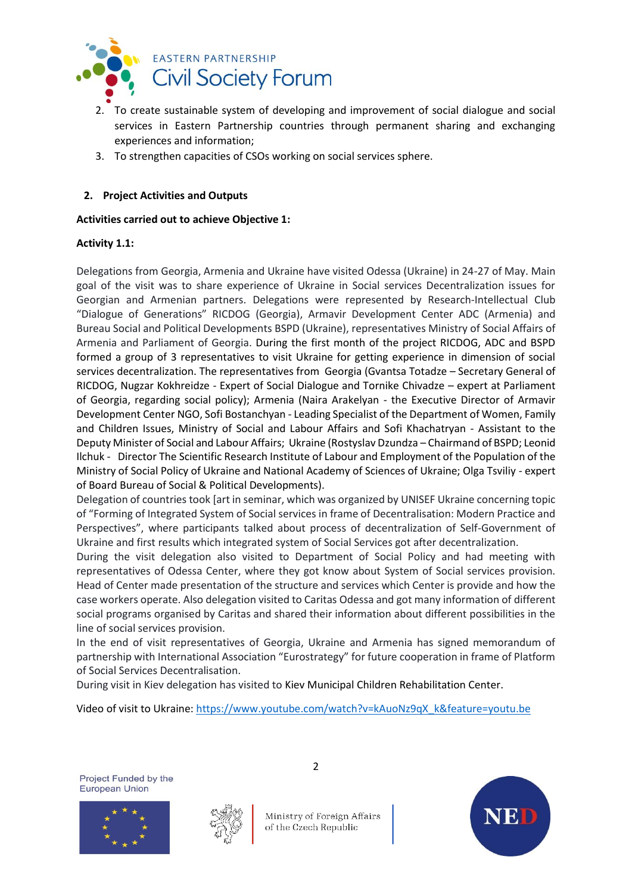

- 2. To create sustainable system of developing and improvement of social dialogue and social services in Eastern Partnership countries through permanent sharing and exchanging experiences and information;
- 3. To strengthen capacities of CSOs working on social services sphere.

# **2. Project Activities and Outputs**

### **Activities carried out to achieve Objective 1:**

#### **Activity 1.1:**

Delegations from Georgia, Armenia and Ukraine have visited Odessa (Ukraine) in 24-27 of May. Main goal of the visit was to share experience of Ukraine in Social services Decentralization issues for Georgian and Armenian partners. Delegations were represented by Research-Intellectual Club "Dialogue of Generations" RICDOG (Georgia), Armavir Development Center ADC (Armenia) and Bureau Social and Political Developments BSPD (Ukraine), representatives Ministry of Social Affairs of Armenia and Parliament of Georgia. During the first month of the project RICDOG, ADC and BSPD formed a group of 3 representatives to visit Ukraine for getting experience in dimension of social services decentralization. The representatives from Georgia (Gvantsa Totadze – Secretary General of RICDOG, Nugzar Kokhreidze - Expert of Social Dialogue and Tornike Chivadze – expert at Parliament of Georgia, regarding social policy); Armenia (Naira Arakelyan - the Executive Director of Armavir Development Center NGO, Sofi Bostanchyan - Leading Specialist of the Department of Women, Family and Children Issues, Ministry of Social and Labour Affairs and Sofi Khachatryan - Assistant to the Deputy Minister of Social and Labour Affairs; Ukraine (Rostyslav Dzundza – Chairmand of BSPD; Leonid Ilchuk - Director The Scientific Research Institute of Labour and Employment of the Population of the Ministry of Social Policy of Ukraine and National Academy of Sciences of Ukraine; Olga Tsviliy - expert of Board Bureau of Social & Political Developments).

Delegation of countries took [art in seminar, which was organized by UNISEF Ukraine concerning topic of "Forming of Integrated System of Social services in frame of Decentralisation: Modern Practice and Perspectives", where participants talked about process of decentralization of Self-Government of Ukraine and first results which integrated system of Social Services got after decentralization.

During the visit delegation also visited to Department of Social Policy and had meeting with representatives of Odessa Center, where they got know about System of Social services provision. Head of Center made presentation of the structure and services which Center is provide and how the case workers operate. Also delegation visited to Caritas Odessa and got many information of different social programs organised by Caritas and shared their information about different possibilities in the line of social services provision.

In the end of visit representatives of Georgia, Ukraine and Armenia has signed memorandum of partnership with International Association "Eurostrategy" for future cooperation in frame of Platform of Social Services Decentralisation.

During visit in Kiev delegation has visited to Kiev Municipal Children Rehabilitation Center.

Video of visit to Ukraine: [https://www.youtube.com/watch?v=kAuoNz9qX\\_k&feature=youtu.be](https://www.youtube.com/watch?v=kAuoNz9qX_k&feature=youtu.be)

Project Funded by the **European Union** 





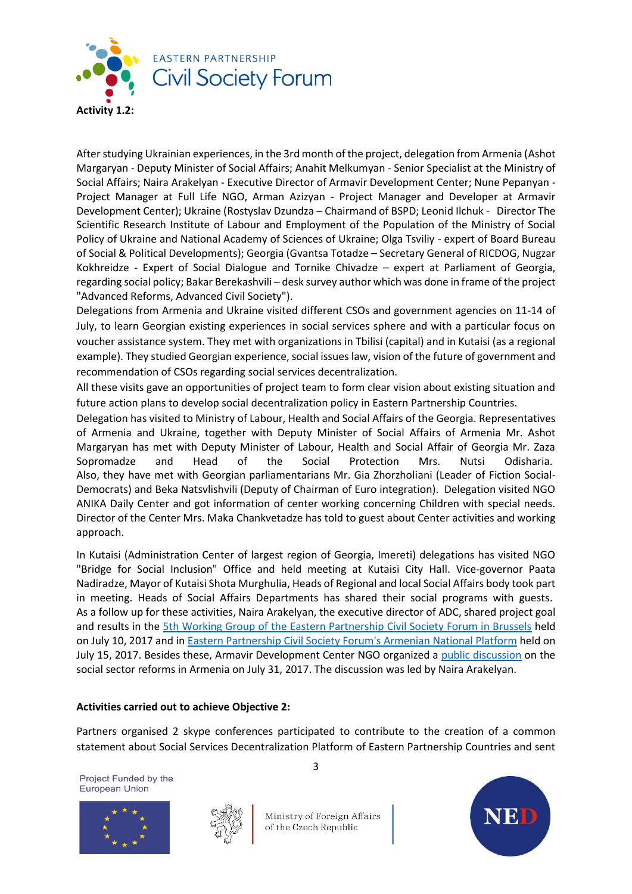

After studying Ukrainian experiences, in the 3rd month of the project, delegation from Armenia (Ashot Margaryan - Deputy Minister of Social Affairs; Anahit Melkumyan - Senior Specialist at the Ministry of Social Affairs; Naira Arakelyan - Executive Director of Armavir Development Center; Nune Pepanyan - Project Manager at Full Life NGO, Arman Azizyan - Project Manager and Developer at Armavir Development Center); Ukraine (Rostyslav Dzundza – Chairmand of BSPD; Leonid Ilchuk - Director The Scientific Research Institute of Labour and Employment of the Population of the Ministry of Social Policy of Ukraine and National Academy of Sciences of Ukraine; Olga Tsviliy - expert of Board Bureau of Social & Political Developments); Georgia (Gvantsa Totadze – Secretary General of RICDOG, Nugzar Kokhreidze - Expert of Social Dialogue and Tornike Chivadze – expert at Parliament of Georgia, regarding social policy; Bakar Berekashvili – desk survey author which was done in frame of the project "Advanced Reforms, Advanced Civil Society").

Delegations from Armenia and Ukraine visited different CSOs and government agencies on 11-14 of July, to learn Georgian existing experiences in social services sphere and with a particular focus on voucher assistance system. They met with organizations in Tbilisi (capital) and in Kutaisi (as a regional example). They studied Georgian experience, social issues law, vision of the future of government and recommendation of CSOs regarding social services decentralization.

All these visits gave an opportunities of project team to form clear vision about existing situation and future action plans to develop social decentralization policy in Eastern Partnership Countries.

Delegation has visited to Ministry of Labour, Health and Social Affairs of the Georgia. Representatives of Armenia and Ukraine, together with Deputy Minister of Social Affairs of Armenia Mr. Ashot Margaryan has met with Deputy Minister of Labour, Health and Social Affair of Georgia Mr. Zaza Sopromadze and Head of the Social Protection Mrs. Nutsi Odisharia. Also, they have met with Georgian parliamentarians Mr. Gia Zhorzholiani (Leader of Fiction Social-Democrats) and Beka Natsvlishvili (Deputy of Chairman of Euro integration). Delegation visited NGO ANIKA Daily Center and got information of center working concerning Children with special needs. Director of the Center Mrs. Maka Chankvetadze has told to guest about Center activities and working approach.

In Kutaisi (Administration Center of largest region of Georgia, Imereti) delegations has visited NGO "Bridge for Social Inclusion" Office and held meeting at Kutaisi City Hall. Vice-governor Paata Nadiradze, Mayor of Kutaisi Shota Murghulia, Heads of Regional and local Social Affairs body took part in meeting. Heads of Social Affairs Departments has shared their social programs with guests. As a follow up for these activities, Naira Arakelyan, the executive director of ADC, shared project goal and results in the [5th Working Group of the Eastern Partnership Civil Society Forum in Brussels](http://infotun.armavirdc.org/929.html) held on July 10, 2017 and i[n Eastern Partnership Civil Society Forum's Armenian National Platform](http://infotun.armavirdc.org/908.html) held on July 15, 2017. Besides these, Armavir Development Center NGO organized a [public discussion](http://infotun.armavirdc.org/926.html) on the social sector reforms in Armenia on July 31, 2017. The discussion was led by Naira Arakelyan.

# **Activities carried out to achieve Objective 2:**

Partners organised 2 skype conferences participated to contribute to the creation of a common statement about Social Services Decentralization Platform of Eastern Partnership Countries and sent

Project Funded by the **European Union** 





Ministry of Foreign Affairs of the Czech Republic

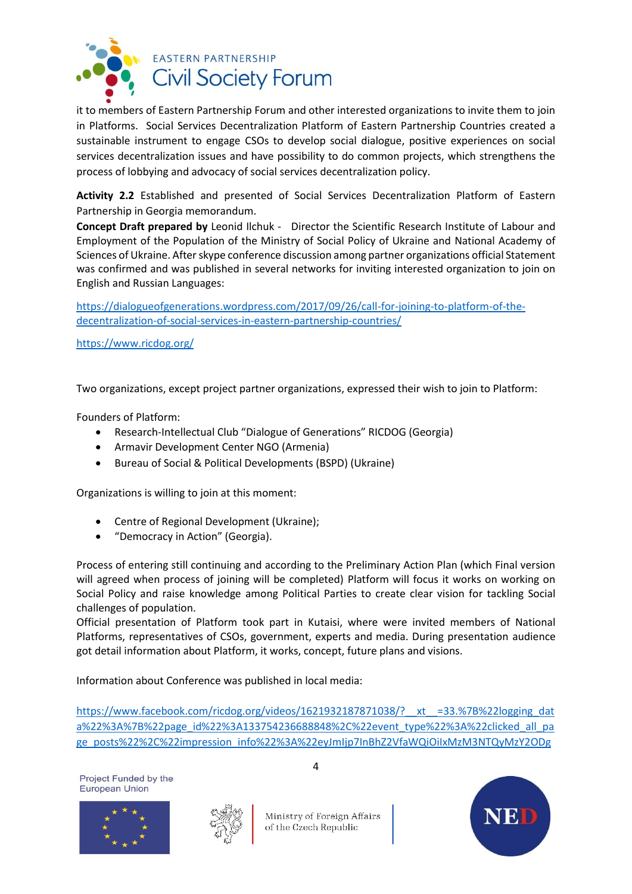

it to members of Eastern Partnership Forum and other interested organizations to invite them to join in Platforms. Social Services Decentralization Platform of Eastern Partnership Countries created a sustainable instrument to engage CSOs to develop social dialogue, positive experiences on social services decentralization issues and have possibility to do common projects, which strengthens the process of lobbying and advocacy of social services decentralization policy.

**Activity 2.2** Established and presented of Social Services Decentralization Platform of Eastern Partnership in Georgia memorandum.

**Concept Draft prepared by** Leonid Ilchuk - Director the Scientific Research Institute of Labour and Employment of the Population of the Ministry of Social Policy of Ukraine and National Academy of Sciences of Ukraine. After skype conference discussion among partner organizations official Statement was confirmed and was published in several networks for inviting interested organization to join on English and Russian Languages:

[https://dialogueofgenerations.wordpress.com/2017/09/26/call-for-joining-to-platform-of-the](https://dialogueofgenerations.wordpress.com/2017/09/26/call-for-joining-to-platform-of-the-decentralization-of-social-services-in-eastern-partnership-countries/)[decentralization-of-social-services-in-eastern-partnership-countries/](https://dialogueofgenerations.wordpress.com/2017/09/26/call-for-joining-to-platform-of-the-decentralization-of-social-services-in-eastern-partnership-countries/)

<https://www.ricdog.org/>

Two organizations, except project partner organizations, expressed their wish to join to Platform:

Founders of Platform:

- Research-Intellectual Club "Dialogue of Generations" RICDOG (Georgia)
- Armavir Development Center NGO (Armenia)
- Bureau of Social & Political Developments (BSPD) (Ukraine)

Organizations is willing to join at this moment:

- Centre of Regional Development (Ukraine);
- "Democracy in Action" (Georgia).

Process of entering still continuing and according to the Preliminary Action Plan (which Final version will agreed when process of joining will be completed) Platform will focus it works on working on Social Policy and raise knowledge among Political Parties to create clear vision for tackling Social challenges of population.

Official presentation of Platform took part in Kutaisi, where were invited members of National Platforms, representatives of CSOs, government, experts and media. During presentation audience got detail information about Platform, it works, concept, future plans and visions.

Information about Conference was published in local media:

https://www.facebook.com/ricdog.org/videos/1621932187871038/? xt =33.%7B%22logging dat [a%22%3A%7B%22page\\_id%22%3A133754236688848%2C%22event\\_type%22%3A%22clicked\\_all\\_pa](https://www.facebook.com/ricdog.org/videos/1621932187871038/?__xt__=33.%7B%22logging_data%22%3A%7B%22page_id%22%3A133754236688848%2C%22event_type%22%3A%22clicked_all_page_posts%22%2C%22impression_info%22%3A%22eyJmIjp7InBhZ2VfaWQiOiIxMzM3NTQyMzY2ODg4NDgiLCJpdGVtX2NvdW50IjoiMCJ9fQ%22%2C%22surface%22%3A%22www_pages_home%22%2C%22interacted_story_type%22%3A%22565413710334575%22%2C%22session_id%22%3A%220e6934d32cb7ae7370c16cf1f8260282%22%7D%7D) [ge\\_posts%22%2C%22impression\\_info%22%3A%22eyJmIjp7InBhZ2VfaWQiOiIxMzM3NTQyMzY2ODg](https://www.facebook.com/ricdog.org/videos/1621932187871038/?__xt__=33.%7B%22logging_data%22%3A%7B%22page_id%22%3A133754236688848%2C%22event_type%22%3A%22clicked_all_page_posts%22%2C%22impression_info%22%3A%22eyJmIjp7InBhZ2VfaWQiOiIxMzM3NTQyMzY2ODg4NDgiLCJpdGVtX2NvdW50IjoiMCJ9fQ%22%2C%22surface%22%3A%22www_pages_home%22%2C%22interacted_story_type%22%3A%22565413710334575%22%2C%22session_id%22%3A%220e6934d32cb7ae7370c16cf1f8260282%22%7D%7D)

Project Funded by the **European Union** 





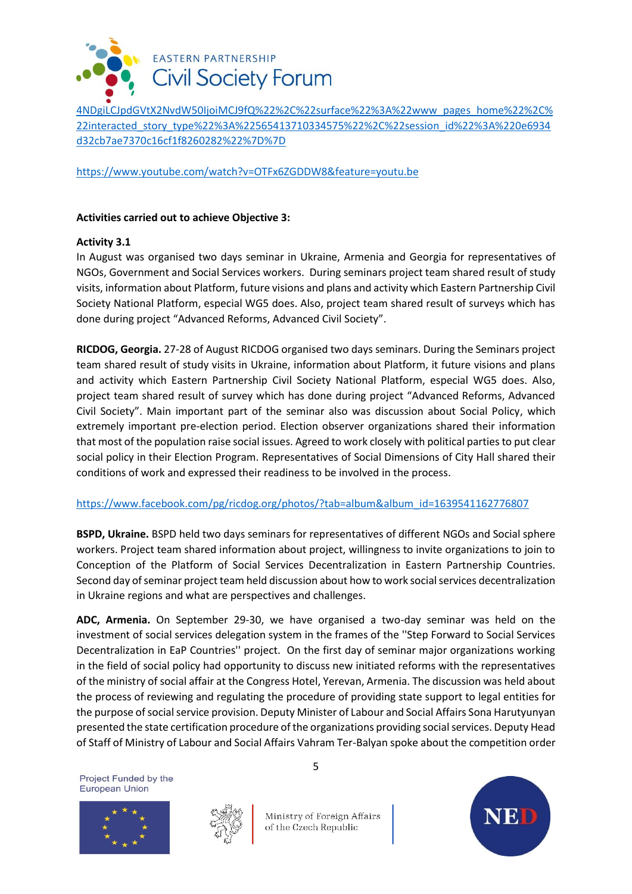

[4NDgiLCJpdGVtX2NvdW50IjoiMCJ9fQ%22%2C%22surface%22%3A%22www\\_pages\\_home%22%2C%](https://www.facebook.com/ricdog.org/videos/1621932187871038/?__xt__=33.%7B%22logging_data%22%3A%7B%22page_id%22%3A133754236688848%2C%22event_type%22%3A%22clicked_all_page_posts%22%2C%22impression_info%22%3A%22eyJmIjp7InBhZ2VfaWQiOiIxMzM3NTQyMzY2ODg4NDgiLCJpdGVtX2NvdW50IjoiMCJ9fQ%22%2C%22surface%22%3A%22www_pages_home%22%2C%22interacted_story_type%22%3A%22565413710334575%22%2C%22session_id%22%3A%220e6934d32cb7ae7370c16cf1f8260282%22%7D%7D) [22interacted\\_story\\_type%22%3A%22565413710334575%22%2C%22session\\_id%22%3A%220e6934](https://www.facebook.com/ricdog.org/videos/1621932187871038/?__xt__=33.%7B%22logging_data%22%3A%7B%22page_id%22%3A133754236688848%2C%22event_type%22%3A%22clicked_all_page_posts%22%2C%22impression_info%22%3A%22eyJmIjp7InBhZ2VfaWQiOiIxMzM3NTQyMzY2ODg4NDgiLCJpdGVtX2NvdW50IjoiMCJ9fQ%22%2C%22surface%22%3A%22www_pages_home%22%2C%22interacted_story_type%22%3A%22565413710334575%22%2C%22session_id%22%3A%220e6934d32cb7ae7370c16cf1f8260282%22%7D%7D) [d32cb7ae7370c16cf1f8260282%22%7D%7D](https://www.facebook.com/ricdog.org/videos/1621932187871038/?__xt__=33.%7B%22logging_data%22%3A%7B%22page_id%22%3A133754236688848%2C%22event_type%22%3A%22clicked_all_page_posts%22%2C%22impression_info%22%3A%22eyJmIjp7InBhZ2VfaWQiOiIxMzM3NTQyMzY2ODg4NDgiLCJpdGVtX2NvdW50IjoiMCJ9fQ%22%2C%22surface%22%3A%22www_pages_home%22%2C%22interacted_story_type%22%3A%22565413710334575%22%2C%22session_id%22%3A%220e6934d32cb7ae7370c16cf1f8260282%22%7D%7D)

<https://www.youtube.com/watch?v=OTFx6ZGDDW8&feature=youtu.be>

### **Activities carried out to achieve Objective 3:**

# **Activity 3.1**

In August was organised two days seminar in Ukraine, Armenia and Georgia for representatives of NGOs, Government and Social Services workers. During seminars project team shared result of study visits, information about Platform, future visions and plans and activity which Eastern Partnership Civil Society National Platform, especial WG5 does. Also, project team shared result of surveys which has done during project "Advanced Reforms, Advanced Civil Society".

**RICDOG, Georgia.** 27-28 of August RICDOG organised two days seminars. During the Seminars project team shared result of study visits in Ukraine, information about Platform, it future visions and plans and activity which Eastern Partnership Civil Society National Platform, especial WG5 does. Also, project team shared result of survey which has done during project "Advanced Reforms, Advanced Civil Society". Main important part of the seminar also was discussion about Social Policy, which extremely important pre-election period. Election observer organizations shared their information that most of the population raise social issues. Agreed to work closely with political parties to put clear social policy in their Election Program. Representatives of Social Dimensions of City Hall shared their conditions of work and expressed their readiness to be involved in the process.

# [https://www.facebook.com/pg/ricdog.org/photos/?tab=album&album\\_id=1639541162776807](https://www.facebook.com/pg/ricdog.org/photos/?tab=album&album_id=1639541162776807)

**BSPD, Ukraine.** BSPD held two days seminars for representatives of different NGOs and Social sphere workers. Project team shared information about project, willingness to invite organizations to join to Conception of the Platform of Social Services Decentralization in Eastern Partnership Countries. Second day of seminar project team held discussion about how to work social services decentralization in Ukraine regions and what are perspectives and challenges.

**ADC, Armenia.** On September 29-30, we have organised a two-day seminar was held on the investment of social services delegation system in the frames of the ''Step Forward to Social Services Decentralization in EaP Countries'' project. On the first day of seminar major organizations working in the field of social policy had opportunity to discuss new initiated reforms with the representatives of the ministry of social affair at the Congress Hotel, Yerevan, Armenia. The discussion was held about the process of reviewing and regulating the procedure of providing state support to legal entities for the purpose of social service provision. Deputy Minister of Labour and Social Affairs Sona Harutyunyan presented the state certification procedure of the organizations providing social services. Deputy Head of Staff of Ministry of Labour and Social Affairs Vahram Ter-Balyan spoke about the competition order

Project Funded by the **European Union** 





Ministry of Foreign Affairs of the Czech Republic

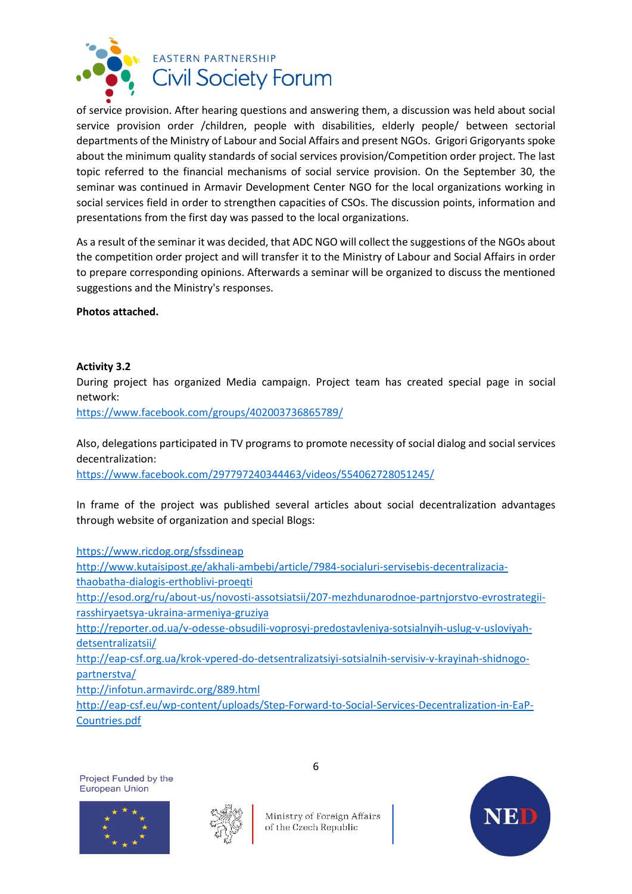

of service provision. After hearing questions and answering them, a discussion was held about social service provision order /children, people with disabilities, elderly people/ between sectorial departments of the Ministry of Labour and Social Affairs and present NGOs. Grigori Grigoryants spoke about the minimum quality standards of social services provision/Competition order project. The last topic referred to the financial mechanisms of social service provision. On the September 30, the seminar was continued in Armavir Development Center NGO for the local organizations working in social services field in order to strengthen capacities of CSOs. The discussion points, information and presentations from the first day was passed to the local organizations.

As a result of the seminar it was decided, that ADC NGO will collect the suggestions of the NGOs about the competition order project and will transfer it to the Ministry of Labour and Social Affairs in order to prepare corresponding opinions. Afterwards a seminar will be organized to discuss the mentioned suggestions and the Ministry's responses.

**Photos attached.** 

#### **Activity 3.2**

During project has organized Media campaign. Project team has created special page in social network:

<https://www.facebook.com/groups/402003736865789/>

Also, delegations participated in TV programs to promote necessity of social dialog and social services decentralization:

<https://www.facebook.com/297797240344463/videos/554062728051245/>

In frame of the project was published several articles about social decentralization advantages through website of organization and special Blogs:

<https://www.ricdog.org/sfssdineap>

[http://www.kutaisipost.ge/akhali-ambebi/article/7984-socialuri-servisebis-decentralizacia](http://www.kutaisipost.ge/akhali-ambebi/article/7984-socialuri-servisebis-decentralizacia-thaobatha-dialogis-erthoblivi-proeqti)[thaobatha-dialogis-erthoblivi-proeqti](http://www.kutaisipost.ge/akhali-ambebi/article/7984-socialuri-servisebis-decentralizacia-thaobatha-dialogis-erthoblivi-proeqti) [http://esod.org/ru/about-us/novosti-assotsiatsii/207-mezhdunarodnoe-partnjorstvo-evrostrategii-](http://esod.org/ru/about-us/novosti-assotsiatsii/207-mezhdunarodnoe-partnjorstvo-evrostrategii-rasshiryaetsya-ukraina-armeniya-gruziya)

[rasshiryaetsya-ukraina-armeniya-gruziya](http://esod.org/ru/about-us/novosti-assotsiatsii/207-mezhdunarodnoe-partnjorstvo-evrostrategii-rasshiryaetsya-ukraina-armeniya-gruziya)

[http://reporter.od.ua/v-odesse-obsudili-voprosyi-predostavleniya-sotsialnyih-uslug-v-usloviyah](http://reporter.od.ua/v-odesse-obsudili-voprosyi-predostavleniya-sotsialnyih-uslug-v-usloviyah-detsentralizatsii/)[detsentralizatsii/](http://reporter.od.ua/v-odesse-obsudili-voprosyi-predostavleniya-sotsialnyih-uslug-v-usloviyah-detsentralizatsii/)

[http://eap-csf.org.ua/krok-vpered-do-detsentralizatsiyi-sotsialnih-servisiv-v-krayinah-shidnogo](http://eap-csf.org.ua/krok-vpered-do-detsentralizatsiyi-sotsialnih-servisiv-v-krayinah-shidnogo-partnerstva/)[partnerstva/](http://eap-csf.org.ua/krok-vpered-do-detsentralizatsiyi-sotsialnih-servisiv-v-krayinah-shidnogo-partnerstva/)

<http://infotun.armavirdc.org/889.html>

[http://eap-csf.eu/wp-content/uploads/Step-Forward-to-Social-Services-Decentralization-in-EaP-](http://eap-csf.eu/wp-content/uploads/Step-Forward-to-Social-Services-Decentralization-in-EaP-Countries.pdf)[Countries.pdf](http://eap-csf.eu/wp-content/uploads/Step-Forward-to-Social-Services-Decentralization-in-EaP-Countries.pdf)







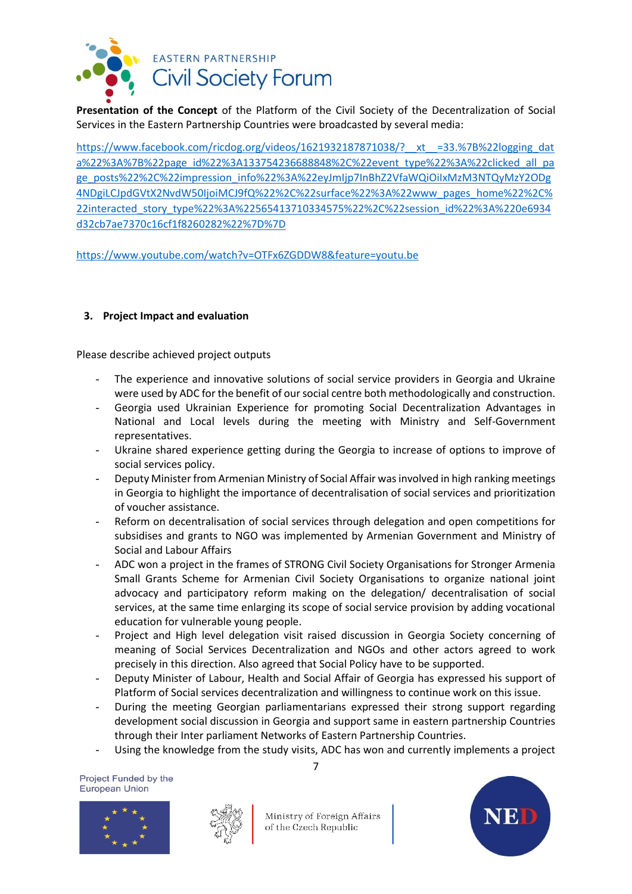

**Presentation of the Concept** of the Platform of the Civil Society of the Decentralization of Social Services in the Eastern Partnership Countries were broadcasted by several media:

[https://www.facebook.com/ricdog.org/videos/1621932187871038/?\\_\\_xt\\_\\_=33.%7B%22logging\\_dat](https://www.facebook.com/ricdog.org/videos/1621932187871038/?__xt__=33.%7B%22logging_data%22%3A%7B%22page_id%22%3A133754236688848%2C%22event_type%22%3A%22clicked_all_page_posts%22%2C%22impression_info%22%3A%22eyJmIjp7InBhZ2VfaWQiOiIxMzM3NTQyMzY2ODg4NDgiLCJpdGVtX2NvdW50IjoiMCJ9fQ%22%2C%22surface%22%3A%22www_pages_home%22%2C%22interacted_story_type%22%3A%22565413710334575%22%2C%22session_id%22%3A%220e6934d32cb7ae7370c16cf1f8260282%22%7D%7D) [a%22%3A%7B%22page\\_id%22%3A133754236688848%2C%22event\\_type%22%3A%22clicked\\_all\\_pa](https://www.facebook.com/ricdog.org/videos/1621932187871038/?__xt__=33.%7B%22logging_data%22%3A%7B%22page_id%22%3A133754236688848%2C%22event_type%22%3A%22clicked_all_page_posts%22%2C%22impression_info%22%3A%22eyJmIjp7InBhZ2VfaWQiOiIxMzM3NTQyMzY2ODg4NDgiLCJpdGVtX2NvdW50IjoiMCJ9fQ%22%2C%22surface%22%3A%22www_pages_home%22%2C%22interacted_story_type%22%3A%22565413710334575%22%2C%22session_id%22%3A%220e6934d32cb7ae7370c16cf1f8260282%22%7D%7D) [ge\\_posts%22%2C%22impression\\_info%22%3A%22eyJmIjp7InBhZ2VfaWQiOiIxMzM3NTQyMzY2ODg](https://www.facebook.com/ricdog.org/videos/1621932187871038/?__xt__=33.%7B%22logging_data%22%3A%7B%22page_id%22%3A133754236688848%2C%22event_type%22%3A%22clicked_all_page_posts%22%2C%22impression_info%22%3A%22eyJmIjp7InBhZ2VfaWQiOiIxMzM3NTQyMzY2ODg4NDgiLCJpdGVtX2NvdW50IjoiMCJ9fQ%22%2C%22surface%22%3A%22www_pages_home%22%2C%22interacted_story_type%22%3A%22565413710334575%22%2C%22session_id%22%3A%220e6934d32cb7ae7370c16cf1f8260282%22%7D%7D) [4NDgiLCJpdGVtX2NvdW50IjoiMCJ9fQ%22%2C%22surface%22%3A%22www\\_pages\\_home%22%2C%](https://www.facebook.com/ricdog.org/videos/1621932187871038/?__xt__=33.%7B%22logging_data%22%3A%7B%22page_id%22%3A133754236688848%2C%22event_type%22%3A%22clicked_all_page_posts%22%2C%22impression_info%22%3A%22eyJmIjp7InBhZ2VfaWQiOiIxMzM3NTQyMzY2ODg4NDgiLCJpdGVtX2NvdW50IjoiMCJ9fQ%22%2C%22surface%22%3A%22www_pages_home%22%2C%22interacted_story_type%22%3A%22565413710334575%22%2C%22session_id%22%3A%220e6934d32cb7ae7370c16cf1f8260282%22%7D%7D) [22interacted\\_story\\_type%22%3A%22565413710334575%22%2C%22session\\_id%22%3A%220e6934](https://www.facebook.com/ricdog.org/videos/1621932187871038/?__xt__=33.%7B%22logging_data%22%3A%7B%22page_id%22%3A133754236688848%2C%22event_type%22%3A%22clicked_all_page_posts%22%2C%22impression_info%22%3A%22eyJmIjp7InBhZ2VfaWQiOiIxMzM3NTQyMzY2ODg4NDgiLCJpdGVtX2NvdW50IjoiMCJ9fQ%22%2C%22surface%22%3A%22www_pages_home%22%2C%22interacted_story_type%22%3A%22565413710334575%22%2C%22session_id%22%3A%220e6934d32cb7ae7370c16cf1f8260282%22%7D%7D) [d32cb7ae7370c16cf1f8260282%22%7D%7D](https://www.facebook.com/ricdog.org/videos/1621932187871038/?__xt__=33.%7B%22logging_data%22%3A%7B%22page_id%22%3A133754236688848%2C%22event_type%22%3A%22clicked_all_page_posts%22%2C%22impression_info%22%3A%22eyJmIjp7InBhZ2VfaWQiOiIxMzM3NTQyMzY2ODg4NDgiLCJpdGVtX2NvdW50IjoiMCJ9fQ%22%2C%22surface%22%3A%22www_pages_home%22%2C%22interacted_story_type%22%3A%22565413710334575%22%2C%22session_id%22%3A%220e6934d32cb7ae7370c16cf1f8260282%22%7D%7D)

<https://www.youtube.com/watch?v=OTFx6ZGDDW8&feature=youtu.be>

# **3. Project Impact and evaluation**

Please describe achieved project outputs

- The experience and innovative solutions of social service providers in Georgia and Ukraine were used by ADC for the benefit of our social centre both methodologically and construction.
- Georgia used Ukrainian Experience for promoting Social Decentralization Advantages in National and Local levels during the meeting with Ministry and Self-Government representatives.
- Ukraine shared experience getting during the Georgia to increase of options to improve of social services policy.
- Deputy Minister from Armenian Ministry of Social Affair was involved in high ranking meetings in Georgia to highlight the importance of decentralisation of social services and prioritization of voucher assistance.
- Reform on decentralisation of social services through delegation and open competitions for subsidises and grants to NGO was implemented by Armenian Government and Ministry of Social and Labour Affairs
- ADC won a project in the frames of STRONG Civil Society Organisations for Stronger Armenia Small Grants Scheme for Armenian Civil Society Organisations to organize national joint advocacy and participatory reform making on the delegation/ decentralisation of social services, at the same time enlarging its scope of social service provision by adding vocational education for vulnerable young people.
- Project and High level delegation visit raised discussion in Georgia Society concerning of meaning of Social Services Decentralization and NGOs and other actors agreed to work precisely in this direction. Also agreed that Social Policy have to be supported.
- Deputy Minister of Labour, Health and Social Affair of Georgia has expressed his support of Platform of Social services decentralization and willingness to continue work on this issue.
- During the meeting Georgian parliamentarians expressed their strong support regarding development social discussion in Georgia and support same in eastern partnership Countries through their Inter parliament Networks of Eastern Partnership Countries.
- Using the knowledge from the study visits, ADC has won and currently implements a project

Project Funded by the **European Union** 





Ministry of Foreign Affairs of the Czech Republic

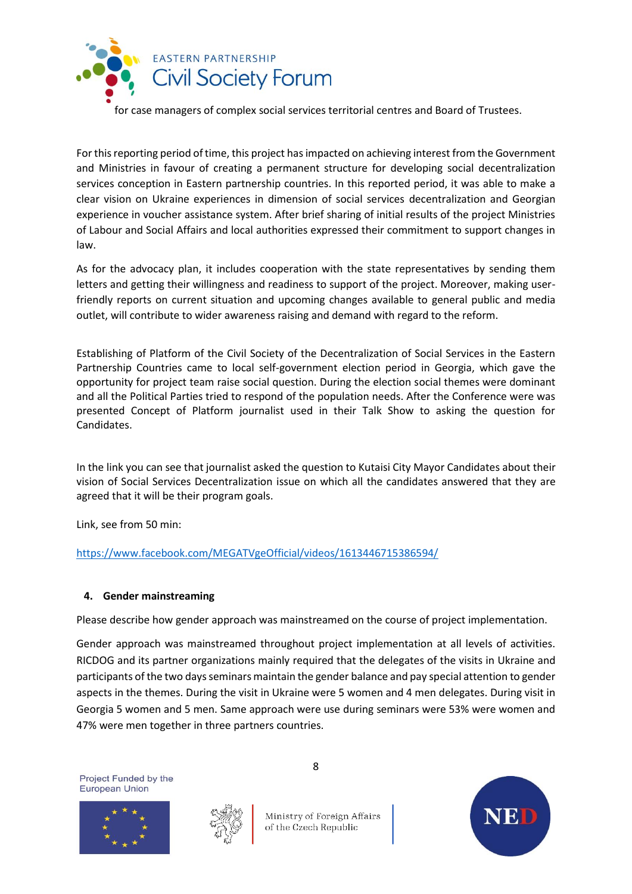

for case managers of complex social services territorial centres and Board of Trustees.

For this reporting period of time, this project has impacted on achieving interest from the Government and Ministries in favour of creating a permanent structure for developing social decentralization services conception in Eastern partnership countries. In this reported period, it was able to make a clear vision on Ukraine experiences in dimension of social services decentralization and Georgian experience in voucher assistance system. After brief sharing of initial results of the project Ministries of Labour and Social Affairs and local authorities expressed their commitment to support changes in law.

As for the advocacy plan, it includes cooperation with the state representatives by sending them letters and getting their willingness and readiness to support of the project. Moreover, making userfriendly reports on current situation and upcoming changes available to general public and media outlet, will contribute to wider awareness raising and demand with regard to the reform.

Establishing of Platform of the Civil Society of the Decentralization of Social Services in the Eastern Partnership Countries came to local self-government election period in Georgia, which gave the opportunity for project team raise social question. During the election social themes were dominant and all the Political Parties tried to respond of the population needs. After the Conference were was presented Concept of Platform journalist used in their Talk Show to asking the question for Candidates.

In the link you can see that journalist asked the question to Kutaisi City Mayor Candidates about their vision of Social Services Decentralization issue on which all the candidates answered that they are agreed that it will be their program goals.

Link, see from 50 min:

<https://www.facebook.com/MEGATVgeOfficial/videos/1613446715386594/>

#### **4. Gender mainstreaming**

Please describe how gender approach was mainstreamed on the course of project implementation.

Gender approach was mainstreamed throughout project implementation at all levels of activities. RICDOG and its partner organizations mainly required that the delegates of the visits in Ukraine and participants of the two days seminars maintain the gender balance and pay special attention to gender aspects in the themes. During the visit in Ukraine were 5 women and 4 men delegates. During visit in Georgia 5 women and 5 men. Same approach were use during seminars were 53% were women and 47% were men together in three partners countries.

Project Funded by the **European Union** 





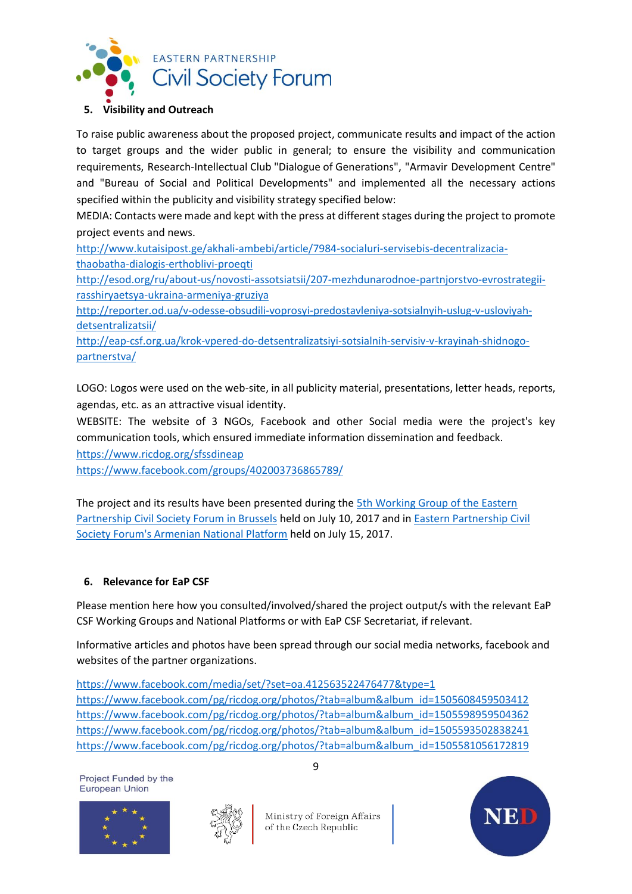

# **5. Visibility and Outreach**

To raise public awareness about the proposed project, communicate results and impact of the action to target groups and the wider public in general; to ensure the visibility and communication requirements, Research-Intellectual Club "Dialogue of Generations", "Armavir Development Centre" and "Bureau of Social and Political Developments" and implemented all the necessary actions specified within the publicity and visibility strategy specified below:

MEDIA: Contacts were made and kept with the press at different stages during the project to promote project events and news.

[http://www.kutaisipost.ge/akhali-ambebi/article/7984-socialuri-servisebis-decentralizacia](http://www.kutaisipost.ge/akhali-ambebi/article/7984-socialuri-servisebis-decentralizacia-thaobatha-dialogis-erthoblivi-proeqti)[thaobatha-dialogis-erthoblivi-proeqti](http://www.kutaisipost.ge/akhali-ambebi/article/7984-socialuri-servisebis-decentralizacia-thaobatha-dialogis-erthoblivi-proeqti)

[http://esod.org/ru/about-us/novosti-assotsiatsii/207-mezhdunarodnoe-partnjorstvo-evrostrategii](http://esod.org/ru/about-us/novosti-assotsiatsii/207-mezhdunarodnoe-partnjorstvo-evrostrategii-rasshiryaetsya-ukraina-armeniya-gruziya)[rasshiryaetsya-ukraina-armeniya-gruziya](http://esod.org/ru/about-us/novosti-assotsiatsii/207-mezhdunarodnoe-partnjorstvo-evrostrategii-rasshiryaetsya-ukraina-armeniya-gruziya)

[http://reporter.od.ua/v-odesse-obsudili-voprosyi-predostavleniya-sotsialnyih-uslug-v-usloviyah](http://reporter.od.ua/v-odesse-obsudili-voprosyi-predostavleniya-sotsialnyih-uslug-v-usloviyah-detsentralizatsii/)[detsentralizatsii/](http://reporter.od.ua/v-odesse-obsudili-voprosyi-predostavleniya-sotsialnyih-uslug-v-usloviyah-detsentralizatsii/)

[http://eap-csf.org.ua/krok-vpered-do-detsentralizatsiyi-sotsialnih-servisiv-v-krayinah-shidnogo](http://eap-csf.org.ua/krok-vpered-do-detsentralizatsiyi-sotsialnih-servisiv-v-krayinah-shidnogo-partnerstva/)[partnerstva/](http://eap-csf.org.ua/krok-vpered-do-detsentralizatsiyi-sotsialnih-servisiv-v-krayinah-shidnogo-partnerstva/)

LOGO: Logos were used on the web-site, in all publicity material, presentations, letter heads, reports, agendas, etc. as an attractive visual identity.

WEBSITE: The website of 3 NGOs, Facebook and other Social media were the project's key communication tools, which ensured immediate information dissemination and feedback.

<https://www.ricdog.org/sfssdineap>

<https://www.facebook.com/groups/402003736865789/>

The project and its results have been presented during the [5th Working Group of the Eastern](http://infotun.armavirdc.org/929.html)  [Partnership Civil Society Forum in Brussels](http://infotun.armavirdc.org/929.html) held on July 10, 2017 and in [Eastern Partnership Civil](http://infotun.armavirdc.org/908.html)  [Society Forum's Armenian National Platform](http://infotun.armavirdc.org/908.html) held on July 15, 2017.

# **6. Relevance for EaP CSF**

Please mention here how you consulted/involved/shared the project output/s with the relevant EaP CSF Working Groups and National Platforms or with EaP CSF Secretariat, if relevant.

Informative articles and photos have been spread through our social media networks, facebook and websites of the partner organizations.

<https://www.facebook.com/media/set/?set=oa.412563522476477&type=1> [https://www.facebook.com/pg/ricdog.org/photos/?tab=album&album\\_id=1505608459503412](https://www.facebook.com/pg/ricdog.org/photos/?tab=album&album_id=1505608459503412) [https://www.facebook.com/pg/ricdog.org/photos/?tab=album&album\\_id=1505598959504362](https://www.facebook.com/pg/ricdog.org/photos/?tab=album&album_id=1505598959504362) [https://www.facebook.com/pg/ricdog.org/photos/?tab=album&album\\_id=1505593502838241](https://www.facebook.com/pg/ricdog.org/photos/?tab=album&album_id=1505593502838241) https://www.facebook.com/pg/ricdog.org/photos/?tab=album&album\_id=1505581056172819

Project Funded by the **European Union**